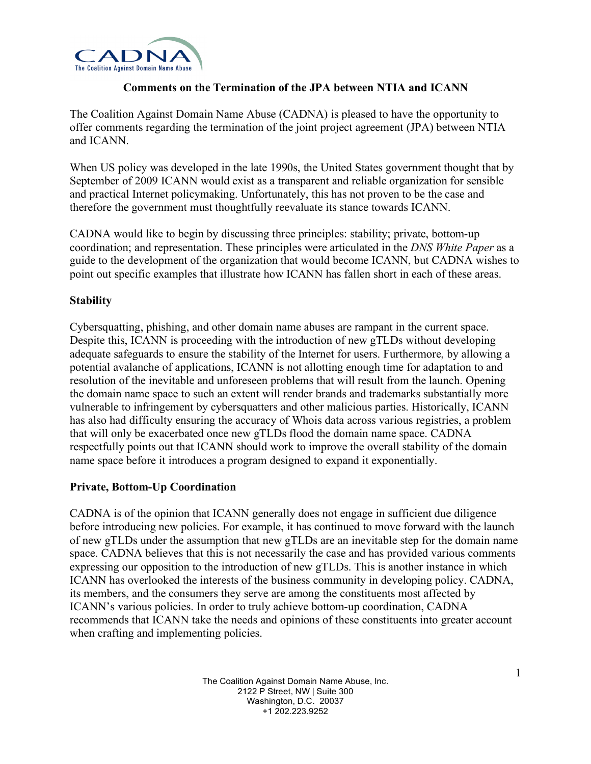

# **Comments on the Termination of the JPA between NTIA and ICANN**

The Coalition Against Domain Name Abuse (CADNA) is pleased to have the opportunity to offer comments regarding the termination of the joint project agreement (JPA) between NTIA and ICANN.

When US policy was developed in the late 1990s, the United States government thought that by September of 2009 ICANN would exist as a transparent and reliable organization for sensible and practical Internet policymaking. Unfortunately, this has not proven to be the case and therefore the government must thoughtfully reevaluate its stance towards ICANN.

CADNA would like to begin by discussing three principles: stability; private, bottom-up coordination; and representation. These principles were articulated in the *DNS White Paper* as a guide to the development of the organization that would become ICANN, but CADNA wishes to point out specific examples that illustrate how ICANN has fallen short in each of these areas.

# **Stability**

Cybersquatting, phishing, and other domain name abuses are rampant in the current space. Despite this, ICANN is proceeding with the introduction of new gTLDs without developing adequate safeguards to ensure the stability of the Internet for users. Furthermore, by allowing a potential avalanche of applications, ICANN is not allotting enough time for adaptation to and resolution of the inevitable and unforeseen problems that will result from the launch. Opening the domain name space to such an extent will render brands and trademarks substantially more vulnerable to infringement by cybersquatters and other malicious parties. Historically, ICANN has also had difficulty ensuring the accuracy of Whois data across various registries, a problem that will only be exacerbated once new gTLDs flood the domain name space. CADNA respectfully points out that ICANN should work to improve the overall stability of the domain name space before it introduces a program designed to expand it exponentially.

## **Private, Bottom-Up Coordination**

CADNA is of the opinion that ICANN generally does not engage in sufficient due diligence before introducing new policies. For example, it has continued to move forward with the launch of new gTLDs under the assumption that new gTLDs are an inevitable step for the domain name space. CADNA believes that this is not necessarily the case and has provided various comments expressing our opposition to the introduction of new gTLDs. This is another instance in which ICANN has overlooked the interests of the business community in developing policy. CADNA, its members, and the consumers they serve are among the constituents most affected by ICANN's various policies. In order to truly achieve bottom-up coordination, CADNA recommends that ICANN take the needs and opinions of these constituents into greater account when crafting and implementing policies.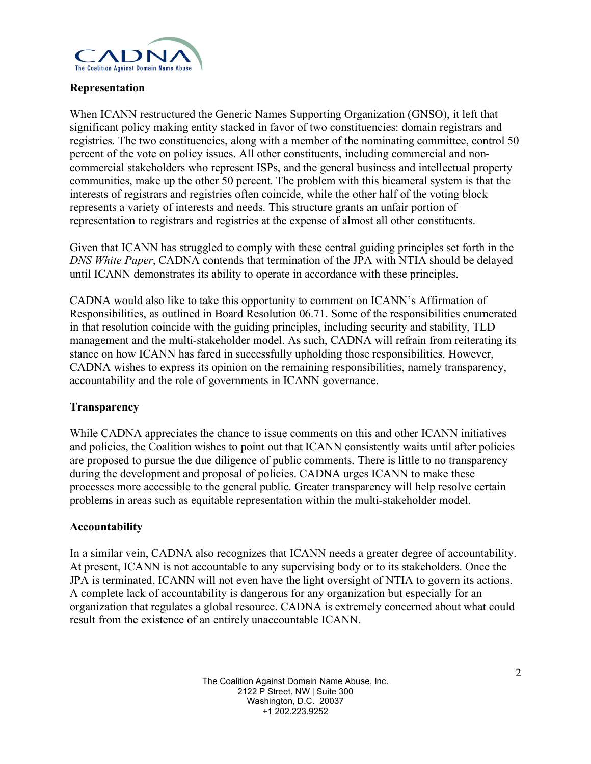

## **Representation**

When ICANN restructured the Generic Names Supporting Organization (GNSO), it left that significant policy making entity stacked in favor of two constituencies: domain registrars and registries. The two constituencies, along with a member of the nominating committee, control 50 percent of the vote on policy issues. All other constituents, including commercial and noncommercial stakeholders who represent ISPs, and the general business and intellectual property communities, make up the other 50 percent. The problem with this bicameral system is that the interests of registrars and registries often coincide, while the other half of the voting block represents a variety of interests and needs. This structure grants an unfair portion of representation to registrars and registries at the expense of almost all other constituents.

Given that ICANN has struggled to comply with these central guiding principles set forth in the *DNS White Paper*, CADNA contends that termination of the JPA with NTIA should be delayed until ICANN demonstrates its ability to operate in accordance with these principles.

CADNA would also like to take this opportunity to comment on ICANN's Affirmation of Responsibilities, as outlined in Board Resolution 06.71. Some of the responsibilities enumerated in that resolution coincide with the guiding principles, including security and stability, TLD management and the multi-stakeholder model. As such, CADNA will refrain from reiterating its stance on how ICANN has fared in successfully upholding those responsibilities. However, CADNA wishes to express its opinion on the remaining responsibilities, namely transparency, accountability and the role of governments in ICANN governance.

## **Transparency**

While CADNA appreciates the chance to issue comments on this and other ICANN initiatives and policies, the Coalition wishes to point out that ICANN consistently waits until after policies are proposed to pursue the due diligence of public comments. There is little to no transparency during the development and proposal of policies. CADNA urges ICANN to make these processes more accessible to the general public. Greater transparency will help resolve certain problems in areas such as equitable representation within the multi-stakeholder model.

## **Accountability**

In a similar vein, CADNA also recognizes that ICANN needs a greater degree of accountability. At present, ICANN is not accountable to any supervising body or to its stakeholders. Once the JPA is terminated, ICANN will not even have the light oversight of NTIA to govern its actions. A complete lack of accountability is dangerous for any organization but especially for an organization that regulates a global resource. CADNA is extremely concerned about what could result from the existence of an entirely unaccountable ICANN.